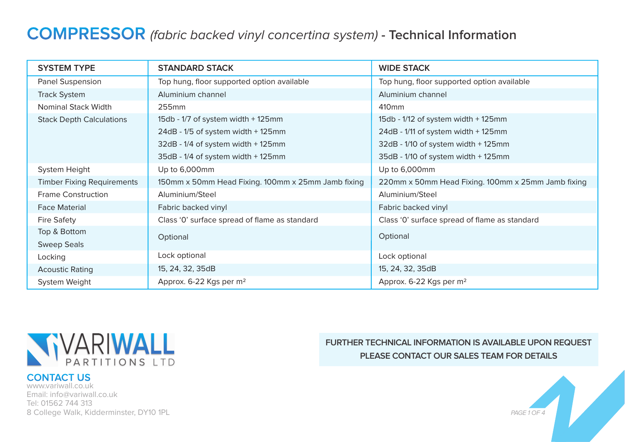# **COMPRESSOR** (fabric backed vinyl concertina system) **- Technical Information**

| <b>SYSTEM TYPE</b>                | <b>STANDARD STACK</b>                              | <b>WIDE STACK</b>                                  |
|-----------------------------------|----------------------------------------------------|----------------------------------------------------|
| Panel Suspension                  | Top hung, floor supported option available         | Top hung, floor supported option available         |
| <b>Track System</b>               | Aluminium channel                                  | Aluminium channel                                  |
| Nominal Stack Width               | 255mm                                              | 410mm                                              |
| <b>Stack Depth Calculations</b>   | 15db - 1/7 of system width + 125mm                 | 15db - 1/12 of system width + 125mm                |
|                                   | 24dB - 1/5 of system width + 125mm                 | 24dB - 1/11 of system width + 125mm                |
|                                   | 32dB - 1/4 of system width + 125mm                 | 32dB - 1/10 of system width + 125mm                |
|                                   | 35dB - 1/4 of system width + 125mm                 | 35dB - 1/10 of system width + 125mm                |
| System Height                     | Up to 6,000mm                                      | Up to 6,000mm                                      |
| <b>Timber Fixing Requirements</b> | 150mm x 50mm Head Fixing. 100mm x 25mm Jamb fixing | 220mm x 50mm Head Fixing. 100mm x 25mm Jamb fixing |
| <b>Frame Construction</b>         | Aluminium/Steel                                    | Aluminium/Steel                                    |
| <b>Face Material</b>              | Fabric backed vinyl                                | Fabric backed vinyl                                |
| <b>Fire Safety</b>                | Class 'O' surface spread of flame as standard      | Class 'O' surface spread of flame as standard      |
| Top & Bottom                      | Optional                                           | Optional                                           |
| <b>Sweep Seals</b>                |                                                    |                                                    |
| Locking                           | Lock optional                                      | Lock optional                                      |
| <b>Acoustic Rating</b>            | 15, 24, 32, 35dB                                   | 15, 24, 32, 35dB                                   |
| System Weight                     | Approx. 6-22 Kgs per m <sup>2</sup>                | Approx. 6-22 Kgs per m <sup>2</sup>                |



#### **CONTACT US**

www.variwall.co.uk Email: info@variwall.co.uk Tel: 01562 744 313 8 College Walk, Kidderminster, DY10 1PL

### **FURTHER TECHNICAL INFORMATION IS AVAILABLE UPON REQUEST PLEASE CONTACT OUR SALES TEAM FOR DETAILS**

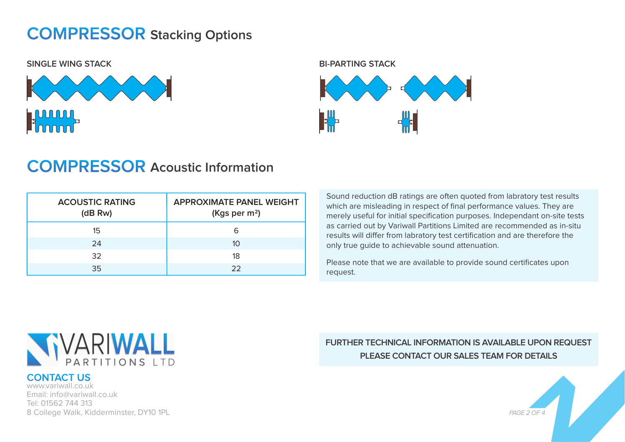## **COMPRESSOR Stacking Options**

**SINGLE WING STACK BI-PARTING STACK**





## **COMPRESSOR Acoustic Information**

| <b>ACOUSTIC RATING</b><br>(dB Rw) | <b>APPROXIMATE PANEL WEIGHT</b><br>(Kgs per m <sup>2</sup> ) |
|-----------------------------------|--------------------------------------------------------------|
| 15                                | 6                                                            |
| 24                                | 10                                                           |
| 32                                | 18                                                           |
| 35                                | 22                                                           |

Sound reduction dB ratings are often quoted from labratory test results which are misleading in respect of final performance values. They are merely useful for initial specification purposes. Independant on-site tests as carried out by Variwall Partitions Limited are recommended as in-situ results will differ from labratory test certification and are therefore the only true guide to achievable sound attenuation.

Please note that we are available to provide sound certificates upon request.



### **CONTACT US**

www.variwall.co.uk Email: info@variwall.co.uk Tel: 01562 744 313 8 College Walk, Kidderminster, DY10 1PL **FURTHER TECHNICAL INFORMATION IS AVAILABLE UPON REQUEST PLEASE CONTACT OUR SALES TEAM FOR DETAILS**

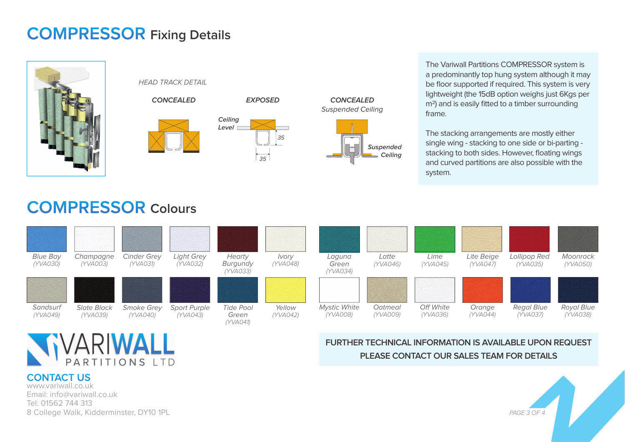# **COMPRESSOR Fixing Details**



HEAD TRACK DETAIL





35







The Variwall Partitions COMPRESSOR system is a predominantly top hung system although it may be floor supported if required. This system is very lightweight (the 15dB option weighs just 6Kgs per m2) and is easily fitted to a timber surrounding frame.

The stacking arrangements are mostly either single wing - stacking to one side or bi-parting stacking to both sides. However, floating wings and curved partitions are also possible with the system.

# **COMPRESSOR Colours**



### **FURTHER TECHNICAL INFORMATION IS AVAILABLE UPON REQUEST PLEASE CONTACT OUR SALES TEAM FOR DETAILS**



A R TITIONS  $1TD$ 

### **CONTACT US**

www.variwall.co.uk Email: info@variwall.co.uk Tel: 01562 744 313 8 College Walk, Kidderminster, DY10 1PL